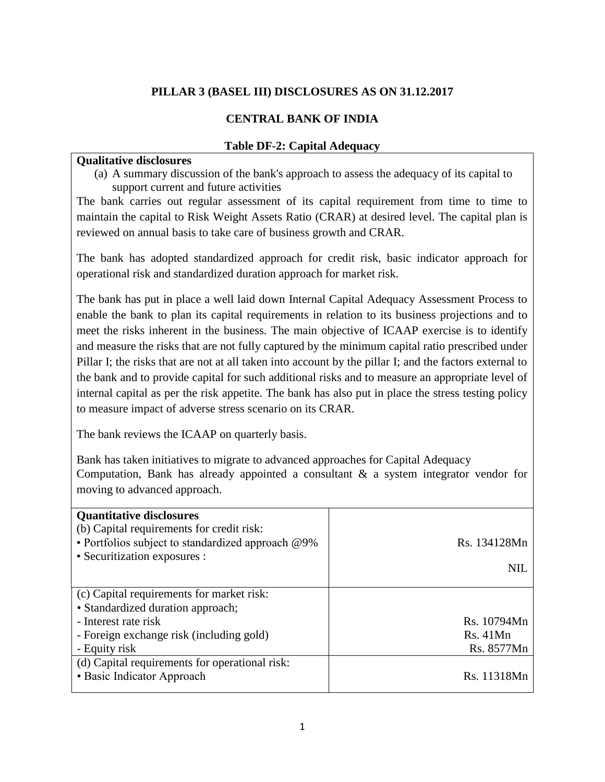## **PILLAR 3 (BASEL III) DISCLOSURES AS ON 31.12.2017**

#### **CENTRAL BANK OF INDIA**

#### **Table DF-2: Capital Adequacy**

## **Qualitative disclosures**

(a) A summary discussion of the bank's approach to assess the adequacy of its capital to support current and future activities

The bank carries out regular assessment of its capital requirement from time to time to maintain the capital to Risk Weight Assets Ratio (CRAR) at desired level. The capital plan is reviewed on annual basis to take care of business growth and CRAR.

The bank has adopted standardized approach for credit risk, basic indicator approach for operational risk and standardized duration approach for market risk.

The bank has put in place a well laid down Internal Capital Adequacy Assessment Process to enable the bank to plan its capital requirements in relation to its business projections and to meet the risks inherent in the business. The main objective of ICAAP exercise is to identify and measure the risks that are not fully captured by the minimum capital ratio prescribed under Pillar I; the risks that are not at all taken into account by the pillar I; and the factors external to the bank and to provide capital for such additional risks and to measure an appropriate level of internal capital as per the risk appetite. The bank has also put in place the stress testing policy to measure impact of adverse stress scenario on its CRAR.

The bank reviews the ICAAP on quarterly basis.

Bank has taken initiatives to migrate to advanced approaches for Capital Adequacy Computation, Bank has already appointed a consultant & a system integrator vendor for moving to advanced approach.

| <b>Quantitative disclosures</b><br>(b) Capital requirements for credit risk:<br>• Portfolios subject to standardized approach @9%<br>• Securitization exposures : | Rs. 134128Mn<br><b>NIL</b> |
|-------------------------------------------------------------------------------------------------------------------------------------------------------------------|----------------------------|
| (c) Capital requirements for market risk:                                                                                                                         |                            |
| • Standardized duration approach;                                                                                                                                 |                            |
| - Interest rate risk                                                                                                                                              | Rs. 10794Mn                |
| - Foreign exchange risk (including gold)                                                                                                                          | Rs. 41Mn                   |
| - Equity risk                                                                                                                                                     | Rs. 8577Mn                 |
| (d) Capital requirements for operational risk:<br>• Basic Indicator Approach                                                                                      | Rs. 11318Mn                |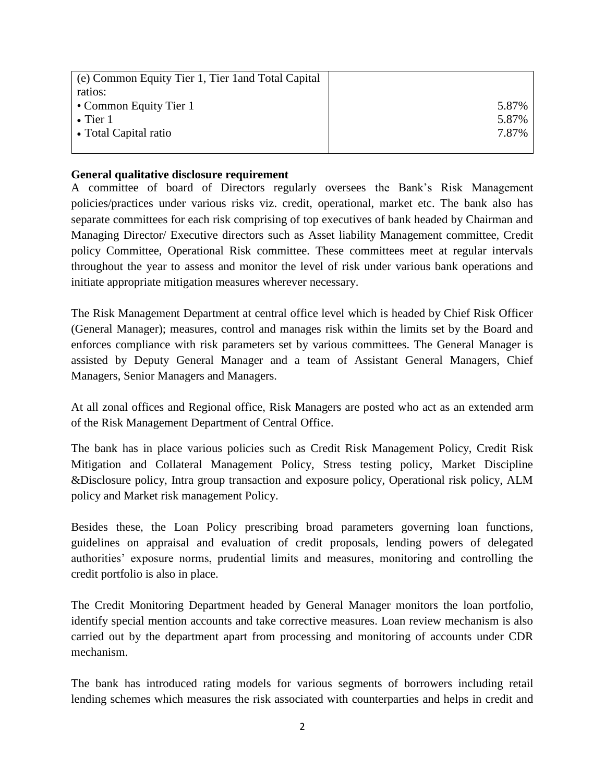| (e) Common Equity Tier 1, Tier 1 and Total Capital |       |
|----------------------------------------------------|-------|
| ratios:                                            |       |
| • Common Equity Tier 1                             | 5.87% |
| $\bullet$ Tier 1                                   | 5.87% |
| • Total Capital ratio                              | 7.87% |
|                                                    |       |

#### **General qualitative disclosure requirement**

A committee of board of Directors regularly oversees the Bank's Risk Management policies/practices under various risks viz. credit, operational, market etc. The bank also has separate committees for each risk comprising of top executives of bank headed by Chairman and Managing Director/ Executive directors such as Asset liability Management committee, Credit policy Committee, Operational Risk committee. These committees meet at regular intervals throughout the year to assess and monitor the level of risk under various bank operations and initiate appropriate mitigation measures wherever necessary.

The Risk Management Department at central office level which is headed by Chief Risk Officer (General Manager); measures, control and manages risk within the limits set by the Board and enforces compliance with risk parameters set by various committees. The General Manager is assisted by Deputy General Manager and a team of Assistant General Managers, Chief Managers, Senior Managers and Managers.

At all zonal offices and Regional office, Risk Managers are posted who act as an extended arm of the Risk Management Department of Central Office.

The bank has in place various policies such as Credit Risk Management Policy, Credit Risk Mitigation and Collateral Management Policy, Stress testing policy, Market Discipline &Disclosure policy, Intra group transaction and exposure policy, Operational risk policy, ALM policy and Market risk management Policy.

Besides these, the Loan Policy prescribing broad parameters governing loan functions, guidelines on appraisal and evaluation of credit proposals, lending powers of delegated authorities' exposure norms, prudential limits and measures, monitoring and controlling the credit portfolio is also in place.

The Credit Monitoring Department headed by General Manager monitors the loan portfolio, identify special mention accounts and take corrective measures. Loan review mechanism is also carried out by the department apart from processing and monitoring of accounts under CDR mechanism.

The bank has introduced rating models for various segments of borrowers including retail lending schemes which measures the risk associated with counterparties and helps in credit and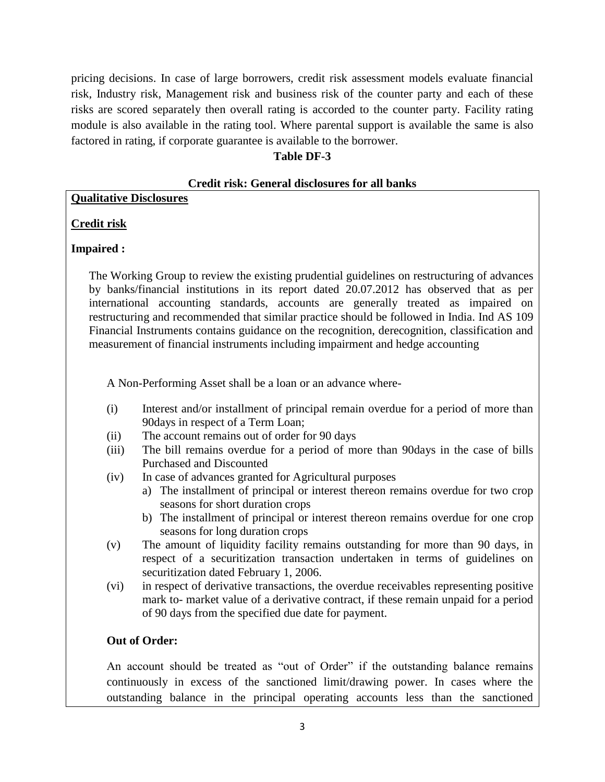pricing decisions. In case of large borrowers, credit risk assessment models evaluate financial risk, Industry risk, Management risk and business risk of the counter party and each of these risks are scored separately then overall rating is accorded to the counter party. Facility rating module is also available in the rating tool. Where parental support is available the same is also factored in rating, if corporate guarantee is available to the borrower.

## **Table DF-3**

#### **Credit risk: General disclosures for all banks**

#### **Qualitative Disclosures**

## **Credit risk**

#### **Impaired :**

The Working Group to review the existing prudential guidelines on restructuring of advances by banks/financial institutions in its report dated 20.07.2012 has observed that as per international accounting standards, accounts are generally treated as impaired on restructuring and recommended that similar practice should be followed in India. Ind AS 109 Financial Instruments contains guidance on the recognition, derecognition, classification and measurement of financial instruments including impairment and hedge accounting

A Non-Performing Asset shall be a loan or an advance where-

- (i) Interest and/or installment of principal remain overdue for a period of more than 90days in respect of a Term Loan;
- (ii) The account remains out of order for 90 days
- (iii) The bill remains overdue for a period of more than 90days in the case of bills Purchased and Discounted
- (iv) In case of advances granted for Agricultural purposes
	- a) The installment of principal or interest thereon remains overdue for two crop seasons for short duration crops
	- b) The installment of principal or interest thereon remains overdue for one crop seasons for long duration crops
- (v) The amount of liquidity facility remains outstanding for more than 90 days, in respect of a securitization transaction undertaken in terms of guidelines on securitization dated February 1, 2006.
- (vi) in respect of derivative transactions, the overdue receivables representing positive mark to- market value of a derivative contract, if these remain unpaid for a period of 90 days from the specified due date for payment.

#### **Out of Order:**

 An account should be treated as "out of Order" if the outstanding balance remains continuously in excess of the sanctioned limit/drawing power. In cases where the outstanding balance in the principal operating accounts less than the sanctioned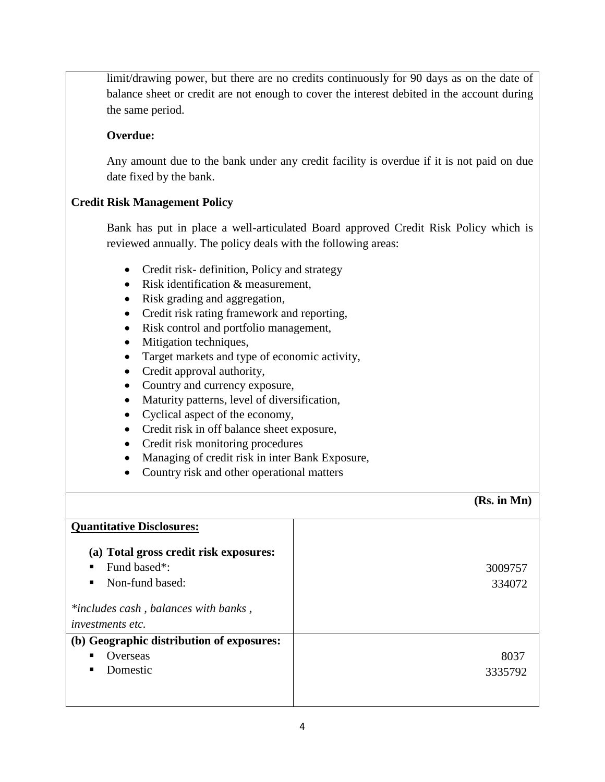limit/drawing power, but there are no credits continuously for 90 days as on the date of balance sheet or credit are not enough to cover the interest debited in the account during the same period.

## **Overdue:**

Any amount due to the bank under any credit facility is overdue if it is not paid on due date fixed by the bank.

## **Credit Risk Management Policy**

Bank has put in place a well-articulated Board approved Credit Risk Policy which is reviewed annually. The policy deals with the following areas:

- Credit risk- definition, Policy and strategy
- Risk identification & measurement,
- Risk grading and aggregation,
- Credit risk rating framework and reporting,
- Risk control and portfolio management,
- Mitigation techniques,
- Target markets and type of economic activity,
- Credit approval authority,
- Country and currency exposure,
- Maturity patterns, level of diversification,
- Cyclical aspect of the economy,
- Credit risk in off balance sheet exposure,
- Credit risk monitoring procedures
- Managing of credit risk in inter Bank Exposure,
- Country risk and other operational matters

#### **(Rs. in Mn)**

| <b>Quantitative Disclosures:</b>          |         |
|-------------------------------------------|---------|
|                                           |         |
| (a) Total gross credit risk exposures:    |         |
| Fund based <sup>*</sup> :<br>٠            | 3009757 |
|                                           |         |
| Non-fund based:<br>٠                      | 334072  |
| *includes cash, balances with banks,      |         |
| <i>investments etc.</i>                   |         |
| (b) Geographic distribution of exposures: |         |
| Overseas<br>٠                             | 8037    |
| Domestic<br>ш                             | 3335792 |
|                                           |         |
|                                           |         |
|                                           |         |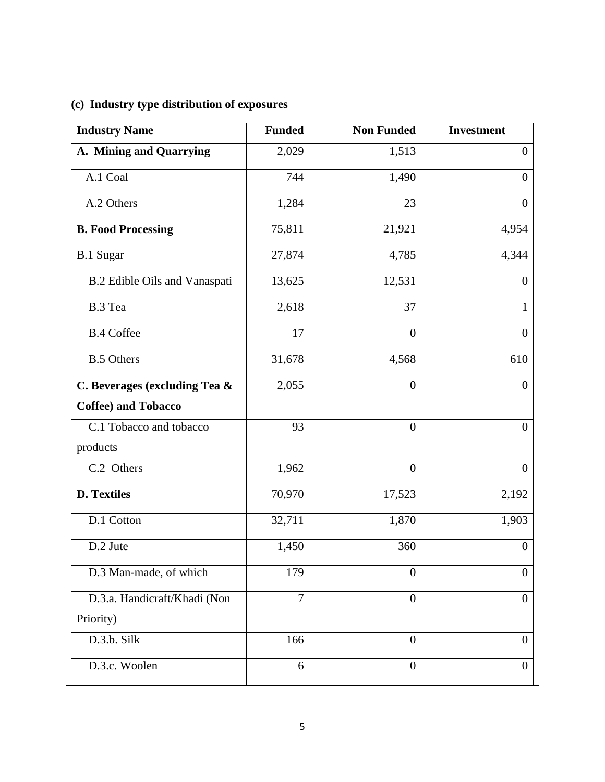## **(c) Industry type distribution of exposures**

| <b>Industry Name</b>          | <b>Funded</b>  | <b>Non Funded</b> | <b>Investment</b> |
|-------------------------------|----------------|-------------------|-------------------|
| A. Mining and Quarrying       | 2,029          | 1,513             | $\overline{0}$    |
| A.1 Coal                      | 744            | 1,490             | $\overline{0}$    |
| A.2 Others                    | 1,284          | 23                | $\mathbf{0}$      |
| <b>B. Food Processing</b>     | 75,811         | 21,921            | 4,954             |
| <b>B.1 Sugar</b>              | 27,874         | 4,785             | 4,344             |
| B.2 Edible Oils and Vanaspati | 13,625         | 12,531            | $\overline{0}$    |
| B.3 Tea                       | 2,618          | 37                | 1                 |
| <b>B.4 Coffee</b>             | 17             | $\overline{0}$    | $\theta$          |
| <b>B.5 Others</b>             | 31,678         | 4,568             | 610               |
| C. Beverages (excluding Tea & | 2,055          | $\overline{0}$    | $\theta$          |
| <b>Coffee) and Tobacco</b>    |                |                   |                   |
| C.1 Tobacco and tobacco       | 93             | $\overline{0}$    | $\overline{0}$    |
| products                      |                |                   |                   |
| C.2 Others                    | 1,962          | $\theta$          | $\theta$          |
| <b>D. Textiles</b>            | 70,970         | 17,523            | 2,192             |
| D.1 Cotton                    | 32,711         | 1,870             | 1,903             |
| D.2 Jute                      | 1,450          | 360               | $\mathbf{0}$      |
| D.3 Man-made, of which        | 179            | $\boldsymbol{0}$  | $\overline{0}$    |
| D.3.a. Handicraft/Khadi (Non  | $\overline{7}$ | $\theta$          | $\theta$          |
| Priority)                     |                |                   |                   |
| D.3.b. Silk                   | 166            | $\overline{0}$    | $\theta$          |
| D.3.c. Woolen                 | 6              | $\theta$          | $\overline{0}$    |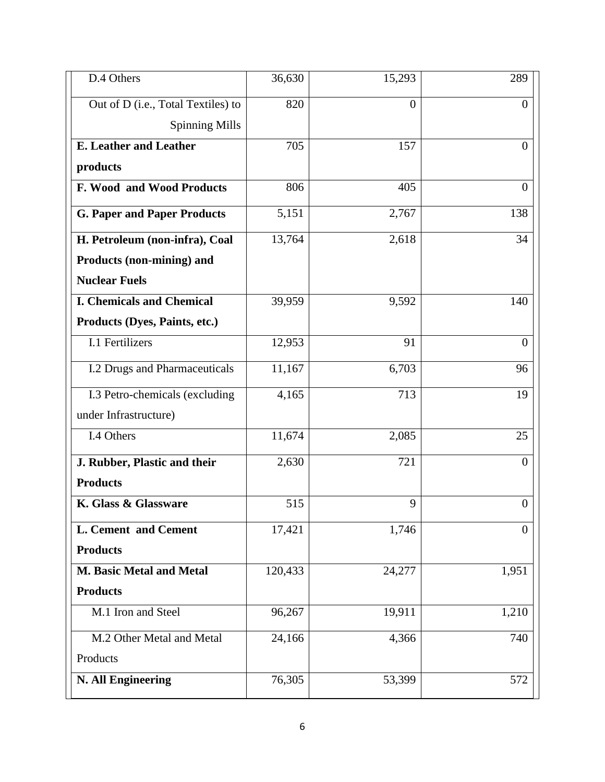| D.4 Others                           | 36,630  | 15,293         | 289              |
|--------------------------------------|---------|----------------|------------------|
| Out of D (i.e., Total Textiles) to   | 820     | $\overline{0}$ | $\overline{0}$   |
| <b>Spinning Mills</b>                |         |                |                  |
| <b>E.</b> Leather and Leather        | 705     | 157            | $\overline{0}$   |
| products                             |         |                |                  |
| F. Wood and Wood Products            | 806     | 405            | $\theta$         |
| <b>G. Paper and Paper Products</b>   | 5,151   | 2,767          | 138              |
| H. Petroleum (non-infra), Coal       | 13,764  | 2,618          | 34               |
| Products (non-mining) and            |         |                |                  |
| <b>Nuclear Fuels</b>                 |         |                |                  |
| <b>I. Chemicals and Chemical</b>     | 39,959  | 9,592          | 140              |
| Products (Dyes, Paints, etc.)        |         |                |                  |
| I.1 Fertilizers                      | 12,953  | 91             | $\overline{0}$   |
| <b>I.2 Drugs and Pharmaceuticals</b> | 11,167  | 6,703          | 96               |
| I.3 Petro-chemicals (excluding       | 4,165   | 713            | 19               |
| under Infrastructure)                |         |                |                  |
| I.4 Others                           | 11,674  | 2,085          | 25               |
| J. Rubber, Plastic and their         | 2,630   | 721            | $\theta$         |
| <b>Products</b>                      |         |                |                  |
| K. Glass & Glassware                 | 515     | 9              | $\boldsymbol{0}$ |
| L. Cement and Cement                 | 17,421  | 1,746          | $\overline{0}$   |
| <b>Products</b>                      |         |                |                  |
| M. Basic Metal and Metal             | 120,433 | 24,277         | 1,951            |
| <b>Products</b>                      |         |                |                  |
| M.1 Iron and Steel                   | 96,267  | 19,911         | 1,210            |
| M.2 Other Metal and Metal            | 24,166  | 4,366          | 740              |
| Products                             |         |                |                  |
| <b>N. All Engineering</b>            | 76,305  | 53,399         | 572              |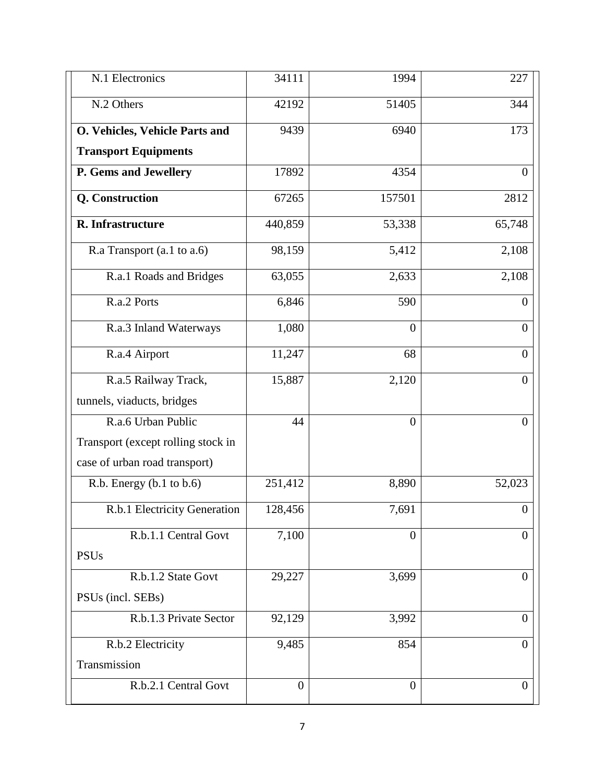| N.1 Electronics                    | 34111          | 1994             | 227              |
|------------------------------------|----------------|------------------|------------------|
| N.2 Others                         | 42192          | 51405            | 344              |
| O. Vehicles, Vehicle Parts and     | 9439           | 6940             | 173              |
| <b>Transport Equipments</b>        |                |                  |                  |
| P. Gems and Jewellery              | 17892          | 4354             | $\theta$         |
| Q. Construction                    | 67265          | 157501           | 2812             |
| R. Infrastructure                  | 440,859        | 53,338           | 65,748           |
| R.a Transport (a.1 to a.6)         | 98,159         | 5,412            | 2,108            |
| R.a.1 Roads and Bridges            | 63,055         | 2,633            | 2,108            |
| R.a.2 Ports                        | 6,846          | 590              | $\overline{0}$   |
| R.a.3 Inland Waterways             | 1,080          | $\boldsymbol{0}$ | $\overline{0}$   |
| R.a.4 Airport                      | 11,247         | 68               | $\mathbf{0}$     |
| R.a.5 Railway Track,               | 15,887         | 2,120            | $\overline{0}$   |
| tunnels, viaducts, bridges         |                |                  |                  |
| R.a.6 Urban Public                 | 44             | $\boldsymbol{0}$ | $\overline{0}$   |
| Transport (except rolling stock in |                |                  |                  |
| case of urban road transport)      |                |                  |                  |
| R.b. Energy (b.1 to b.6)           | 251,412        | 8,890            | 52,023           |
| R.b.1 Electricity Generation       | 128,456        | 7,691            | $\overline{0}$   |
| R.b.1.1 Central Govt               | 7,100          | $\overline{0}$   | $\theta$         |
| <b>PSUs</b>                        |                |                  |                  |
| R.b.1.2 State Govt                 | 29,227         | 3,699            | $\mathbf{0}$     |
| PSUs (incl. SEBs)                  |                |                  |                  |
| R.b.1.3 Private Sector             | 92,129         | 3,992            | $\overline{0}$   |
| R.b.2 Electricity                  | 9,485          | 854              | $\boldsymbol{0}$ |
| Transmission                       |                |                  |                  |
| R.b.2.1 Central Govt               | $\overline{0}$ | $\overline{0}$   | $\overline{0}$   |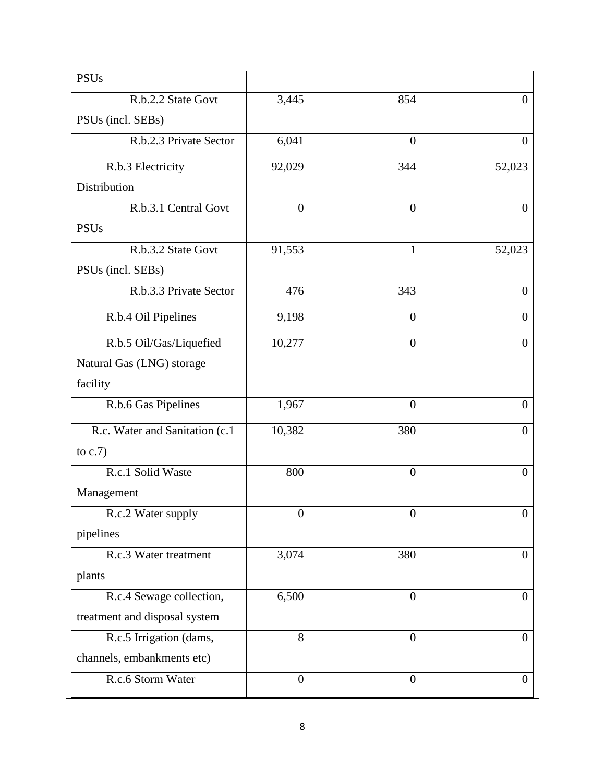| <b>PSUs</b>                     |                  |                  |                  |
|---------------------------------|------------------|------------------|------------------|
| R.b.2.2 State Govt              | 3,445            | 854              | $\overline{0}$   |
| PSUs (incl. SEBs)               |                  |                  |                  |
| R.b.2.3 Private Sector          | 6,041            | $\overline{0}$   | $\overline{0}$   |
| R.b.3 Electricity               | 92,029           | 344              | 52,023           |
| Distribution                    |                  |                  |                  |
| R.b.3.1 Central Govt            | $\overline{0}$   | $\overline{0}$   | $\overline{0}$   |
| <b>PSUs</b>                     |                  |                  |                  |
| R.b.3.2 State Govt              | 91,553           | 1                | 52,023           |
| PSUs (incl. SEBs)               |                  |                  |                  |
| R.b.3.3 Private Sector          | 476              | 343              | $\overline{0}$   |
| R.b.4 Oil Pipelines             | 9,198            | $\overline{0}$   | $\overline{0}$   |
| R.b.5 Oil/Gas/Liquefied         | 10,277           | $\overline{0}$   | $\overline{0}$   |
| Natural Gas (LNG) storage       |                  |                  |                  |
| facility                        |                  |                  |                  |
| R.b.6 Gas Pipelines             | 1,967            | $\overline{0}$   | $\overline{0}$   |
| R.c. Water and Sanitation (c.1) | 10,382           | 380              | $\overline{0}$   |
| to $c.7$ )                      |                  |                  |                  |
| R.c.1 Solid Waste               | 800              | $\overline{0}$   | $\overline{0}$   |
| Management                      |                  |                  |                  |
| R.c.2 Water supply              | $\boldsymbol{0}$ | $\boldsymbol{0}$ | $\boldsymbol{0}$ |
| pipelines                       |                  |                  |                  |
| R.c.3 Water treatment           | 3,074            | 380              | $\overline{0}$   |
| plants                          |                  |                  |                  |
| R.c.4 Sewage collection,        | 6,500            | $\overline{0}$   | $\overline{0}$   |
| treatment and disposal system   |                  |                  |                  |
| R.c.5 Irrigation (dams,         | 8                | $\overline{0}$   | $\overline{0}$   |
| channels, embankments etc)      |                  |                  |                  |
| R.c.6 Storm Water               | $\boldsymbol{0}$ | $\overline{0}$   | $\boldsymbol{0}$ |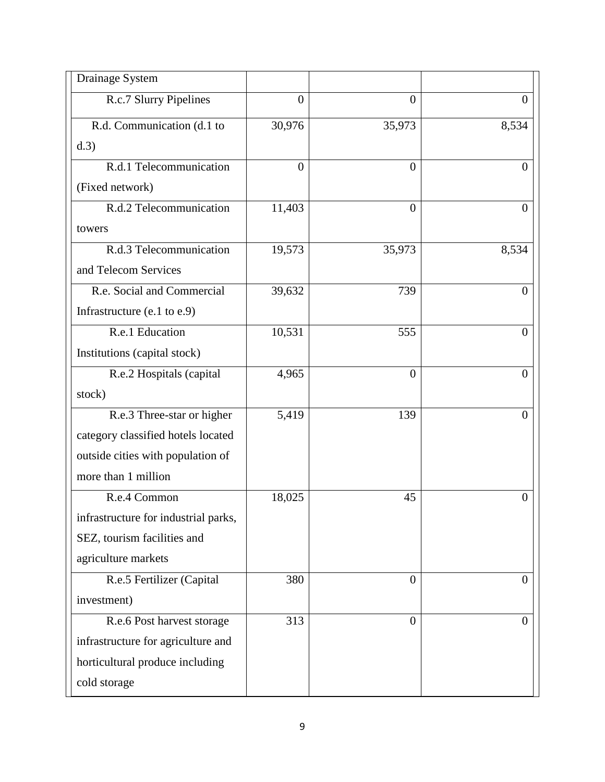| Drainage System                      |                |          |                  |
|--------------------------------------|----------------|----------|------------------|
| R.c.7 Slurry Pipelines               | $\overline{0}$ | $\theta$ | 0                |
| R.d. Communication (d.1 to           | 30,976         | 35,973   | 8,534            |
| d.3)                                 |                |          |                  |
| R.d.1 Telecommunication              | $\overline{0}$ | $\theta$ | $\theta$         |
| (Fixed network)                      |                |          |                  |
| R.d.2 Telecommunication              | 11,403         | $\theta$ | $\theta$         |
| towers                               |                |          |                  |
| R.d.3 Telecommunication              | 19,573         | 35,973   | 8,534            |
| and Telecom Services                 |                |          |                  |
| R.e. Social and Commercial           | 39,632         | 739      | $\overline{0}$   |
| Infrastructure $(e.1 to e.9)$        |                |          |                  |
| R.e.1 Education                      | 10,531         | 555      | $\overline{0}$   |
| Institutions (capital stock)         |                |          |                  |
| R.e.2 Hospitals (capital             | 4,965          | $\theta$ | $\theta$         |
| stock)                               |                |          |                  |
| R.e.3 Three-star or higher           | 5,419          | 139      | $\overline{0}$   |
| category classified hotels located   |                |          |                  |
| outside cities with population of    |                |          |                  |
| more than 1 million                  |                |          |                  |
| R.e.4 Common                         | 18,025         | 45       | $\theta$         |
| infrastructure for industrial parks, |                |          |                  |
| SEZ, tourism facilities and          |                |          |                  |
| agriculture markets                  |                |          |                  |
| R.e.5 Fertilizer (Capital            | 380            | $\theta$ | $\boldsymbol{0}$ |
| investment)                          |                |          |                  |
| R.e.6 Post harvest storage           | 313            | $\theta$ | $\theta$         |
| infrastructure for agriculture and   |                |          |                  |
| horticultural produce including      |                |          |                  |
| cold storage                         |                |          |                  |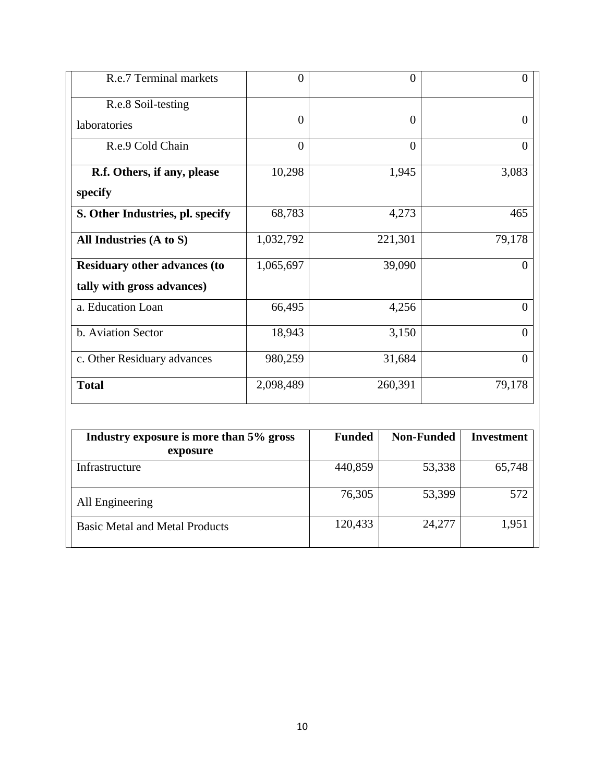| R.e.7 Terminal markets              | $\theta$       | $\theta$       | $\Omega$ |
|-------------------------------------|----------------|----------------|----------|
| R.e.8 Soil-testing                  |                |                |          |
| laboratories                        | $\overline{0}$ | $\theta$       | $\Omega$ |
| R.e.9 Cold Chain                    | $\overline{0}$ | $\overline{0}$ | $\theta$ |
| R.f. Others, if any, please         | 10,298         | 1,945          | 3,083    |
| specify                             |                |                |          |
| S. Other Industries, pl. specify    | 68,783         | 4,273          | 465      |
| All Industries (A to S)             | 1,032,792      | 221,301        | 79,178   |
| <b>Residuary other advances (to</b> | 1,065,697      | 39,090         | $\Omega$ |
| tally with gross advances)          |                |                |          |
| a. Education Loan                   | 66,495         | 4,256          | $\Omega$ |
| b. Aviation Sector                  | 18,943         | 3,150          | $\Omega$ |
| c. Other Residuary advances         | 980,259        | 31,684         | $\theta$ |
| <b>Total</b>                        | 2,098,489      | 260,391        | 79,178   |

| Industry exposure is more than 5% gross<br>exposure | <b>Funded</b> | <b>Non-Funded</b> | <b>Investment</b> |
|-----------------------------------------------------|---------------|-------------------|-------------------|
| Infrastructure                                      | 440,859       | 53,338            | 65,748            |
| All Engineering                                     | 76,305        | 53,399            | 572               |
| <b>Basic Metal and Metal Products</b>               | 120,433       | 24,277            | 1,951             |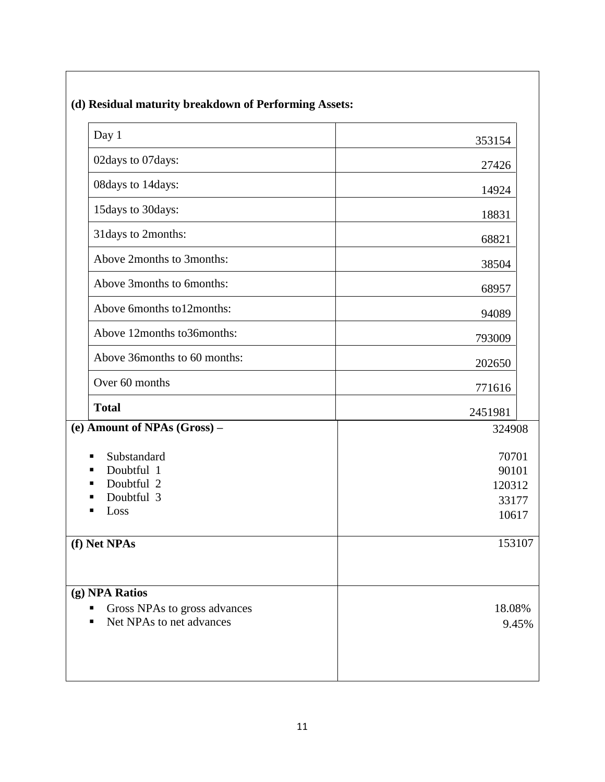| (d) Residual maturity breakdown of Performing Assets:                      |                                            |  |
|----------------------------------------------------------------------------|--------------------------------------------|--|
| Day 1                                                                      | 353154                                     |  |
| 02days to 07days:                                                          | 27426                                      |  |
| 08days to 14days:                                                          | 14924                                      |  |
| 15days to 30days:                                                          | 18831                                      |  |
| 31 days to 2months:                                                        | 68821                                      |  |
| Above 2months to 3months:                                                  | 38504                                      |  |
| Above 3months to 6months:                                                  | 68957                                      |  |
| Above 6months to12months:                                                  | 94089                                      |  |
| Above 12months to36months:                                                 | 793009                                     |  |
| Above 36months to 60 months:                                               | 202650                                     |  |
| Over 60 months                                                             | 771616                                     |  |
| <b>Total</b>                                                               | 2451981                                    |  |
| (e) Amount of NPAs (Gross) -                                               | 324908                                     |  |
| Substandard<br>п<br>Doubtful 1<br>Doubtful 2<br>Doubtful 3<br>Loss         | 70701<br>90101<br>120312<br>33177<br>10617 |  |
| (f) Net NPAs                                                               | 153107                                     |  |
| (g) NPA Ratios<br>Gross NPAs to gross advances<br>Net NPAs to net advances | 18.08%<br>9.45%                            |  |

#### **(d) Residual maturity breakdown of Performing Assets:**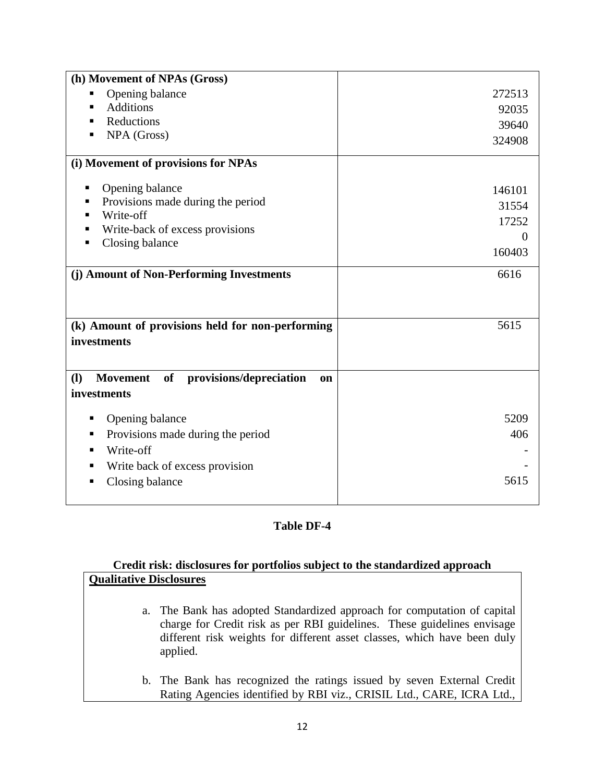| (h) Movement of NPAs (Gross)                                             |          |
|--------------------------------------------------------------------------|----------|
| Opening balance<br>Е                                                     | 272513   |
| <b>Additions</b><br>٠                                                    | 92035    |
| Reductions<br>п                                                          | 39640    |
| NPA (Gross)<br>п                                                         | 324908   |
|                                                                          |          |
| (i) Movement of provisions for NPAs                                      |          |
|                                                                          |          |
| Opening balance<br>п                                                     | 146101   |
| Provisions made during the period                                        | 31554    |
| Write-off                                                                | 17252    |
| Write-back of excess provisions                                          | $\theta$ |
| Closing balance                                                          | 160403   |
|                                                                          |          |
| (j) Amount of Non-Performing Investments                                 | 6616     |
|                                                                          |          |
|                                                                          |          |
| (k) Amount of provisions held for non-performing                         | 5615     |
| investments                                                              |          |
|                                                                          |          |
|                                                                          |          |
| <b>Movement</b><br>of provisions/depreciation<br><b>(I)</b><br><b>on</b> |          |
| investments                                                              |          |
|                                                                          |          |
| Opening balance<br>п                                                     | 5209     |
| Provisions made during the period<br>п                                   |          |
|                                                                          | 406      |
| Write-off<br>٠                                                           |          |
| Write back of excess provision<br>п                                      |          |
| п                                                                        | 5615     |
| Closing balance                                                          |          |

#### **Table DF-4**

## **Credit risk: disclosures for portfolios subject to the standardized approach Qualitative Disclosures**

- a. The Bank has adopted Standardized approach for computation of capital charge for Credit risk as per RBI guidelines. These guidelines envisage different risk weights for different asset classes, which have been duly applied.
- b. The Bank has recognized the ratings issued by seven External Credit Rating Agencies identified by RBI viz., CRISIL Ltd., CARE, ICRA Ltd.,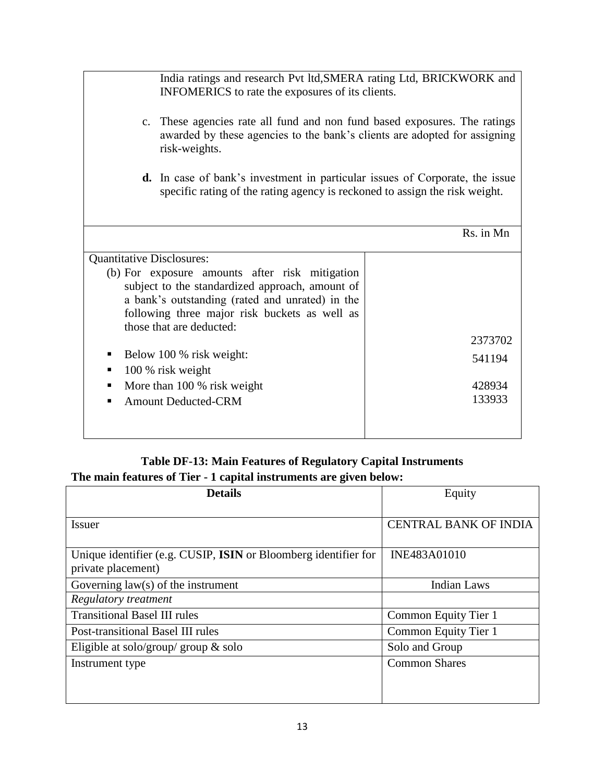|                                  | India ratings and research Pvt ltd, SMERA rating Ltd, BRICKWORK and<br>INFOMERICS to rate the exposures of its clients.                                                 |                  |  |
|----------------------------------|-------------------------------------------------------------------------------------------------------------------------------------------------------------------------|------------------|--|
|                                  | c. These agencies rate all fund and non fund based exposures. The ratings<br>awarded by these agencies to the bank's clients are adopted for assigning<br>risk-weights. |                  |  |
|                                  | <b>d.</b> In case of bank's investment in particular issues of Corporate, the issue<br>specific rating of the rating agency is reckoned to assign the risk weight.      |                  |  |
|                                  |                                                                                                                                                                         | Rs. in Mn        |  |
| <b>Quantitative Disclosures:</b> |                                                                                                                                                                         |                  |  |
|                                  | (b) For exposure amounts after risk mitigation                                                                                                                          |                  |  |
|                                  | subject to the standardized approach, amount of                                                                                                                         |                  |  |
|                                  | a bank's outstanding (rated and unrated) in the                                                                                                                         |                  |  |
|                                  | following three major risk buckets as well as                                                                                                                           |                  |  |
|                                  | those that are deducted:                                                                                                                                                | 2373702          |  |
| п                                | Below 100 % risk weight:                                                                                                                                                |                  |  |
|                                  |                                                                                                                                                                         | 541194           |  |
| п                                | 100 % risk weight<br>٠                                                                                                                                                  |                  |  |
|                                  | More than 100 % risk weight                                                                                                                                             | 428934<br>133933 |  |
|                                  | <b>Amount Deducted-CRM</b>                                                                                                                                              |                  |  |
|                                  |                                                                                                                                                                         |                  |  |

## **Table DF-13: Main Features of Regulatory Capital Instruments The main features of Tier - 1 capital instruments are given below:**

| <b>Details</b>                                                                        | Equity                       |
|---------------------------------------------------------------------------------------|------------------------------|
| Issuer                                                                                | <b>CENTRAL BANK OF INDIA</b> |
| Unique identifier (e.g. CUSIP, ISIN or Bloomberg identifier for<br>private placement) | INE483A01010                 |
| Governing $law(s)$ of the instrument                                                  | <b>Indian Laws</b>           |
| Regulatory treatment                                                                  |                              |
| <b>Transitional Basel III rules</b>                                                   | Common Equity Tier 1         |
| Post-transitional Basel III rules                                                     | Common Equity Tier 1         |
| Eligible at solo/group/ group $\&$ solo                                               | Solo and Group               |
| Instrument type                                                                       | <b>Common Shares</b>         |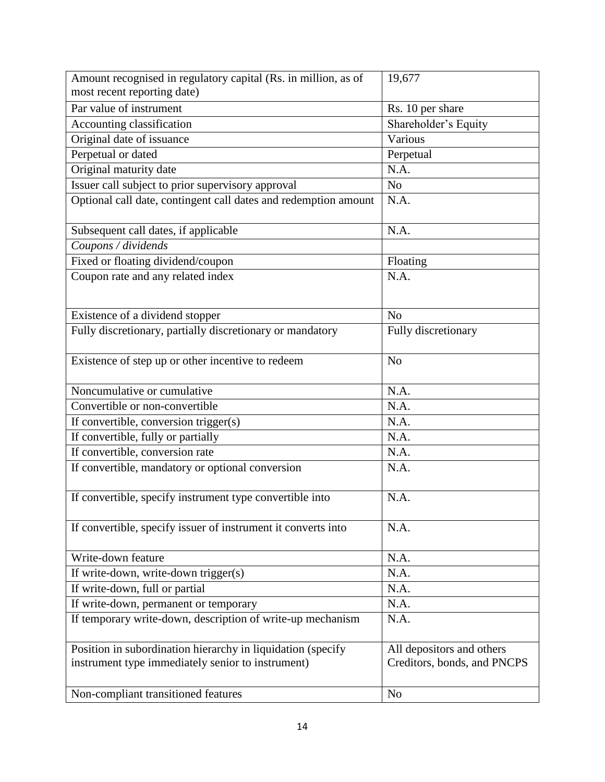| Amount recognised in regulatory capital (Rs. in million, as of<br>most recent reporting date) | 19,677                      |
|-----------------------------------------------------------------------------------------------|-----------------------------|
| Par value of instrument                                                                       | Rs. 10 per share            |
| Accounting classification                                                                     | Shareholder's Equity        |
| Original date of issuance                                                                     | Various                     |
| Perpetual or dated                                                                            | Perpetual                   |
| Original maturity date                                                                        | N.A.                        |
| Issuer call subject to prior supervisory approval                                             | N <sub>o</sub>              |
| Optional call date, contingent call dates and redemption amount                               | N.A.                        |
| Subsequent call dates, if applicable                                                          | N.A.                        |
| Coupons / dividends                                                                           |                             |
| Fixed or floating dividend/coupon                                                             | Floating                    |
| Coupon rate and any related index                                                             | N.A.                        |
| Existence of a dividend stopper                                                               | N <sub>o</sub>              |
| Fully discretionary, partially discretionary or mandatory                                     | Fully discretionary         |
| Existence of step up or other incentive to redeem                                             | N <sub>o</sub>              |
| Noncumulative or cumulative                                                                   | N.A.                        |
| Convertible or non-convertible                                                                | N.A.                        |
| If convertible, conversion trigger(s)                                                         | N.A.                        |
| If convertible, fully or partially                                                            | N.A.                        |
| If convertible, conversion rate                                                               | N.A.                        |
| If convertible, mandatory or optional conversion                                              | N.A.                        |
| If convertible, specify instrument type convertible into                                      | N.A.                        |
| If convertible, specify issuer of instrument it converts into                                 | N.A.                        |
| Write-down feature                                                                            | N.A.                        |
| If write-down, write-down trigger(s)                                                          | N.A.                        |
| If write-down, full or partial                                                                | N.A.                        |
| If write-down, permanent or temporary                                                         | N.A.                        |
| If temporary write-down, description of write-up mechanism                                    | N.A.                        |
| Position in subordination hierarchy in liquidation (specify                                   | All depositors and others   |
| instrument type immediately senior to instrument)                                             | Creditors, bonds, and PNCPS |
| Non-compliant transitioned features                                                           | N <sub>o</sub>              |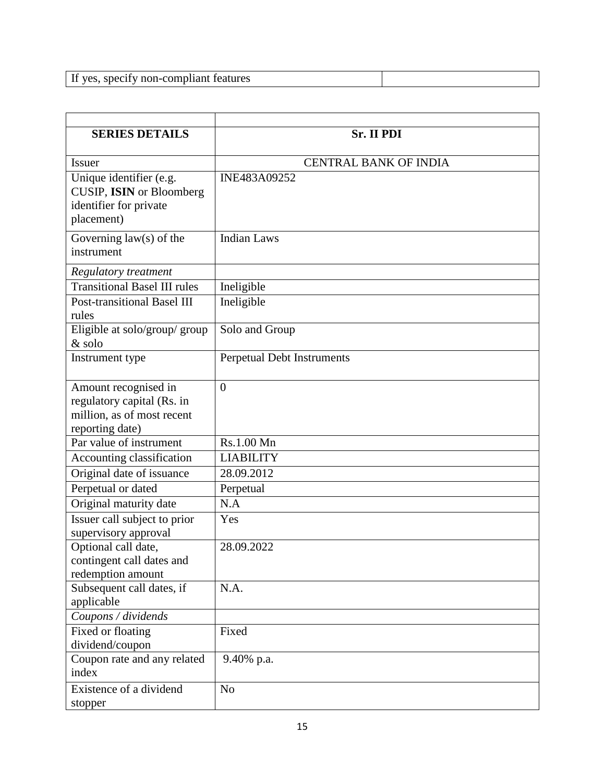If yes, specify non-compliant features

| <b>SERIES DETAILS</b>                                                                               | <b>Sr. II PDI</b>                 |
|-----------------------------------------------------------------------------------------------------|-----------------------------------|
| <b>Issuer</b>                                                                                       | <b>CENTRAL BANK OF INDIA</b>      |
| Unique identifier (e.g.<br>CUSIP, ISIN or Bloomberg<br>identifier for private<br>placement)         | INE483A09252                      |
| Governing $law(s)$ of the<br>instrument                                                             | <b>Indian Laws</b>                |
| <b>Regulatory treatment</b>                                                                         |                                   |
| <b>Transitional Basel III rules</b>                                                                 | Ineligible                        |
| Post-transitional Basel III<br>rules                                                                | Ineligible                        |
| Eligible at solo/group/ group<br>& solo                                                             | Solo and Group                    |
| Instrument type                                                                                     | <b>Perpetual Debt Instruments</b> |
| Amount recognised in<br>regulatory capital (Rs. in<br>million, as of most recent<br>reporting date) | $\theta$                          |
| $\overline{Par}$ value of instrument                                                                | Rs.1.00 Mn                        |
| Accounting classification                                                                           | <b>LIABILITY</b>                  |
| Original date of issuance                                                                           | 28.09.2012                        |
| Perpetual or dated                                                                                  | Perpetual                         |
| Original maturity date                                                                              | N.A                               |
| Issuer call subject to prior<br>supervisory approval                                                | Yes                               |
| Optional call date,<br>contingent call dates and<br>redemption amount                               | 28.09.2022                        |
| Subsequent call dates, if<br>applicable                                                             | N.A.                              |
| Coupons / dividends                                                                                 |                                   |
| Fixed or floating<br>dividend/coupon                                                                | Fixed                             |
| Coupon rate and any related<br>index                                                                | 9.40% p.a.                        |
| Existence of a dividend<br>stopper                                                                  | N <sub>o</sub>                    |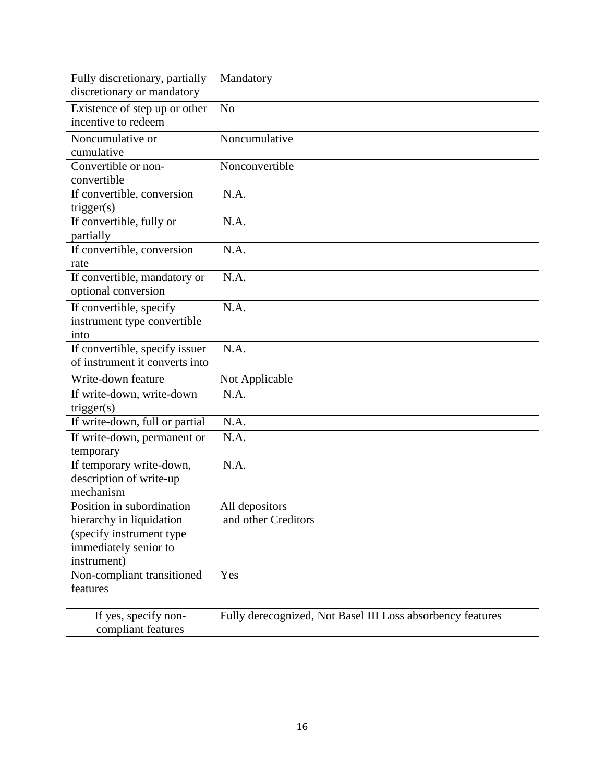| Fully discretionary, partially |                                                            |
|--------------------------------|------------------------------------------------------------|
|                                | Mandatory                                                  |
| discretionary or mandatory     |                                                            |
| Existence of step up or other  | N <sub>o</sub>                                             |
| incentive to redeem            |                                                            |
| Noncumulative or               | Noncumulative                                              |
| cumulative                     |                                                            |
| Convertible or non-            | Nonconvertible                                             |
| convertible                    |                                                            |
| If convertible, conversion     | N.A.                                                       |
| trigger(s)                     |                                                            |
| If convertible, fully or       | N.A.                                                       |
| partially                      |                                                            |
| If convertible, conversion     | N.A.                                                       |
| rate                           |                                                            |
| If convertible, mandatory or   | N.A.                                                       |
| optional conversion            |                                                            |
| If convertible, specify        | N.A.                                                       |
| instrument type convertible    |                                                            |
| into                           |                                                            |
| If convertible, specify issuer | N.A.                                                       |
| of instrument it converts into |                                                            |
| Write-down feature             | Not Applicable                                             |
| If write-down, write-down      | N.A.                                                       |
| trigger(s)                     |                                                            |
| If write-down, full or partial | N.A.                                                       |
| If write-down, permanent or    | N.A.                                                       |
| temporary                      |                                                            |
| If temporary write-down,       | N.A.                                                       |
| description of write-up        |                                                            |
| mechanism                      |                                                            |
| Position in subordination      | All depositors                                             |
| hierarchy in liquidation       | and other Creditors                                        |
| (specify instrument type       |                                                            |
| immediately senior to          |                                                            |
| instrument)                    |                                                            |
| Non-compliant transitioned     | Yes                                                        |
| features                       |                                                            |
|                                |                                                            |
| If yes, specify non-           | Fully derecognized, Not Basel III Loss absorbency features |
| compliant features             |                                                            |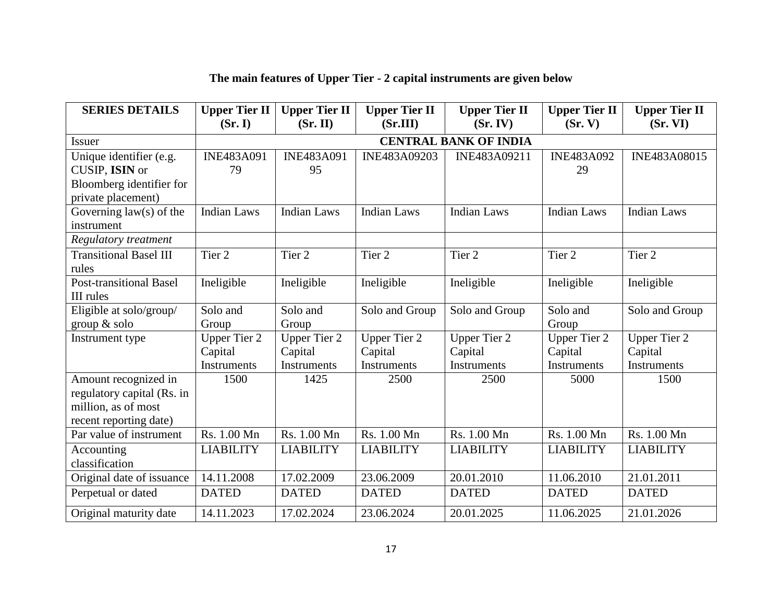| <b>SERIES DETAILS</b>                                                                               | <b>Upper Tier II</b><br>(Sr, I)               | <b>Upper Tier II</b><br>(Sr. II)                     | <b>Upper Tier II</b><br>(Sr.III)              | <b>Upper Tier II</b><br>(Sr. IV)              | <b>Upper Tier II</b><br>(Sr, V)                      | <b>Upper Tier II</b><br>(Sr. VI)                     |
|-----------------------------------------------------------------------------------------------------|-----------------------------------------------|------------------------------------------------------|-----------------------------------------------|-----------------------------------------------|------------------------------------------------------|------------------------------------------------------|
| <b>Issuer</b>                                                                                       | <b>CENTRAL BANK OF INDIA</b>                  |                                                      |                                               |                                               |                                                      |                                                      |
| Unique identifier (e.g.<br>CUSIP, ISIN or<br>Bloomberg identifier for<br>private placement)         | <b>INE483A091</b><br>79                       | <b>INE483A091</b><br>95                              | INE483A09203                                  | INE483A09211                                  | <b>INE483A092</b><br>29                              | INE483A08015                                         |
| Governing law(s) of the<br>instrument<br>Regulatory treatment                                       | <b>Indian Laws</b>                            | <b>Indian Laws</b>                                   | <b>Indian Laws</b>                            | <b>Indian Laws</b>                            | <b>Indian Laws</b>                                   | <b>Indian Laws</b>                                   |
| <b>Transitional Basel III</b><br>rules                                                              | Tier 2                                        | Tier 2                                               | Tier <sub>2</sub>                             | Tier <sub>2</sub>                             | Tier 2                                               | Tier 2                                               |
| <b>Post-transitional Basel</b><br>III rules                                                         | Ineligible                                    | Ineligible                                           | Ineligible                                    | Ineligible                                    | Ineligible                                           | Ineligible                                           |
| Eligible at solo/group/<br>group $&$ solo                                                           | Solo and<br>Group                             | Solo and<br>Group                                    | Solo and Group                                | Solo and Group                                | Solo and<br>Group                                    | Solo and Group                                       |
| Instrument type                                                                                     | <b>Upper Tier 2</b><br>Capital<br>Instruments | <b>Upper Tier 2</b><br>Capital<br><b>Instruments</b> | <b>Upper Tier 2</b><br>Capital<br>Instruments | <b>Upper Tier 2</b><br>Capital<br>Instruments | <b>Upper Tier 2</b><br>Capital<br><b>Instruments</b> | <b>Upper Tier 2</b><br>Capital<br><b>Instruments</b> |
| Amount recognized in<br>regulatory capital (Rs. in<br>million, as of most<br>recent reporting date) | 1500                                          | 1425                                                 | 2500                                          | 2500                                          | 5000                                                 | 1500                                                 |
| Par value of instrument                                                                             | Rs. 1.00 Mn                                   | Rs. 1.00 Mn                                          | Rs. 1.00 Mn                                   | Rs. 1.00 Mn                                   | Rs. 1.00 Mn                                          | Rs. 1.00 Mn                                          |
| Accounting<br>classification                                                                        | <b>LIABILITY</b>                              | <b>LIABILITY</b>                                     | <b>LIABILITY</b>                              | <b>LIABILITY</b>                              | <b>LIABILITY</b>                                     | <b>LIABILITY</b>                                     |
| Original date of issuance                                                                           | 14.11.2008                                    | 17.02.2009                                           | 23.06.2009                                    | 20.01.2010                                    | 11.06.2010                                           | 21.01.2011                                           |
| Perpetual or dated                                                                                  | <b>DATED</b>                                  | <b>DATED</b>                                         | <b>DATED</b>                                  | <b>DATED</b>                                  | <b>DATED</b>                                         | <b>DATED</b>                                         |
| Original maturity date                                                                              | 14.11.2023                                    | 17.02.2024                                           | 23.06.2024                                    | 20.01.2025                                    | 11.06.2025                                           | 21.01.2026                                           |

# **The main features of Upper Tier - 2 capital instruments are given below**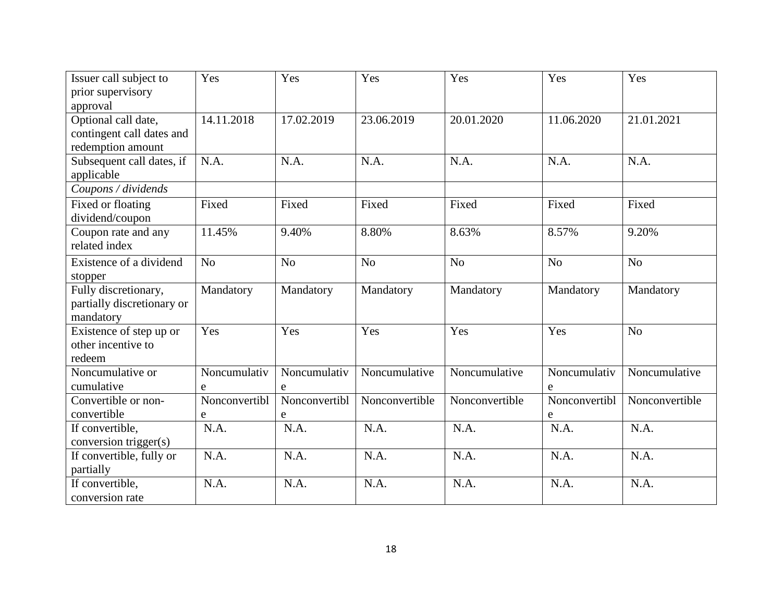| Issuer call subject to     | Yes           | Yes            | Yes            | Yes            | Yes            | Yes            |
|----------------------------|---------------|----------------|----------------|----------------|----------------|----------------|
| prior supervisory          |               |                |                |                |                |                |
| approval                   |               |                |                |                |                |                |
| Optional call date,        | 14.11.2018    | 17.02.2019     | 23.06.2019     | 20.01.2020     | 11.06.2020     | 21.01.2021     |
| contingent call dates and  |               |                |                |                |                |                |
| redemption amount          |               |                |                |                |                |                |
| Subsequent call dates, if  | N.A.          | N.A.           | N.A.           | N.A.           | N.A.           | N.A.           |
| applicable                 |               |                |                |                |                |                |
| Coupons / dividends        |               |                |                |                |                |                |
| Fixed or floating          | Fixed         | Fixed          | Fixed          | Fixed          | Fixed          | Fixed          |
| dividend/coupon            |               |                |                |                |                |                |
| Coupon rate and any        | 11.45%        | 9.40%          | 8.80%          | 8.63%          | 8.57%          | 9.20%          |
| related index              |               |                |                |                |                |                |
| Existence of a dividend    | No            | N <sub>o</sub> | N <sub>o</sub> | No             | N <sub>o</sub> | N <sub>o</sub> |
| stopper                    |               |                |                |                |                |                |
| Fully discretionary,       | Mandatory     | Mandatory      | Mandatory      | Mandatory      | Mandatory      | Mandatory      |
| partially discretionary or |               |                |                |                |                |                |
| mandatory                  |               |                |                |                |                |                |
| Existence of step up or    | Yes           | Yes            | Yes            | Yes            | Yes            | N <sub>o</sub> |
| other incentive to         |               |                |                |                |                |                |
| redeem                     |               |                |                |                |                |                |
| Noncumulative or           | Noncumulativ  | Noncumulativ   | Noncumulative  | Noncumulative  | Noncumulativ   | Noncumulative  |
| cumulative                 | $\mathbf e$   | e              |                |                | e              |                |
| Convertible or non-        | Nonconvertibl | Nonconvertibl  | Nonconvertible | Nonconvertible | Nonconvertibl  | Nonconvertible |
| convertible                | $\mathbf e$   | e              |                |                | e              |                |
| If convertible,            | N.A.          | N.A.           | N.A.           | N.A.           | N.A.           | N.A.           |
| conversion trigger(s)      |               |                |                |                |                |                |
| If convertible, fully or   | N.A.          | N.A.           | N.A.           | N.A.           | N.A.           | N.A.           |
| partially                  |               |                |                |                |                |                |
| If convertible,            | N.A.          | N.A.           | N.A.           | N.A.           | N.A.           | N.A.           |
| conversion rate            |               |                |                |                |                |                |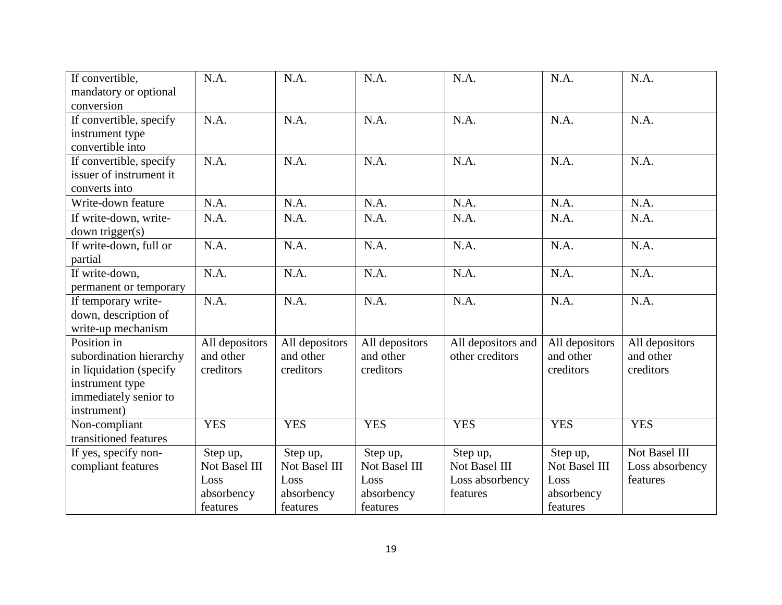| If convertible,         | N.A.           | N.A.           | N.A.           | N.A.               | N.A.              | N.A.            |
|-------------------------|----------------|----------------|----------------|--------------------|-------------------|-----------------|
| mandatory or optional   |                |                |                |                    |                   |                 |
| conversion              |                |                |                |                    |                   |                 |
| If convertible, specify | N.A.           | N.A.           | N.A.           | N.A.               | N.A.              | N.A.            |
| instrument type         |                |                |                |                    |                   |                 |
| convertible into        |                |                |                |                    |                   |                 |
| If convertible, specify | N.A.           | N.A.           | N.A.           | N.A.               | $\overline{N.A.}$ | N.A.            |
| issuer of instrument it |                |                |                |                    |                   |                 |
| converts into           |                |                |                |                    |                   |                 |
| Write-down feature      | N.A.           | N.A.           | N.A.           | N.A.               | N.A.              | N.A.            |
| If write-down, write-   | N.A.           | N.A.           | N.A.           | N.A.               | N.A.              | N.A.            |
| down trigger(s)         |                |                |                |                    |                   |                 |
| If write-down, full or  | N.A.           | N.A.           | N.A.           | N.A.               | N.A.              | N.A.            |
| partial                 |                |                |                |                    |                   |                 |
| If write-down,          | N.A.           | N.A.           | N.A.           | N.A.               | N.A.              | N.A.            |
| permanent or temporary  |                |                |                |                    |                   |                 |
| If temporary write-     | N.A.           | N.A.           | N.A.           | N.A.               | N.A.              | N.A.            |
| down, description of    |                |                |                |                    |                   |                 |
| write-up mechanism      |                |                |                |                    |                   |                 |
| Position in             | All depositors | All depositors | All depositors | All depositors and | All depositors    | All depositors  |
| subordination hierarchy | and other      | and other      | and other      | other creditors    | and other         | and other       |
| in liquidation (specify | creditors      | creditors      | creditors      |                    | creditors         | creditors       |
| instrument type         |                |                |                |                    |                   |                 |
| immediately senior to   |                |                |                |                    |                   |                 |
| instrument)             |                |                |                |                    |                   |                 |
| Non-compliant           | <b>YES</b>     | <b>YES</b>     | <b>YES</b>     | <b>YES</b>         | <b>YES</b>        | <b>YES</b>      |
| transitioned features   |                |                |                |                    |                   |                 |
| If yes, specify non-    | Step up,       | Step up,       | Step up,       | Step up,           | Step up,          | Not Basel III   |
| compliant features      | Not Basel III  | Not Basel III  | Not Basel III  | Not Basel III      | Not Basel III     | Loss absorbency |
|                         | Loss           | Loss           | Loss           | Loss absorbency    | Loss              | features        |
|                         | absorbency     | absorbency     | absorbency     | features           | absorbency        |                 |
|                         | features       | features       | features       |                    | features          |                 |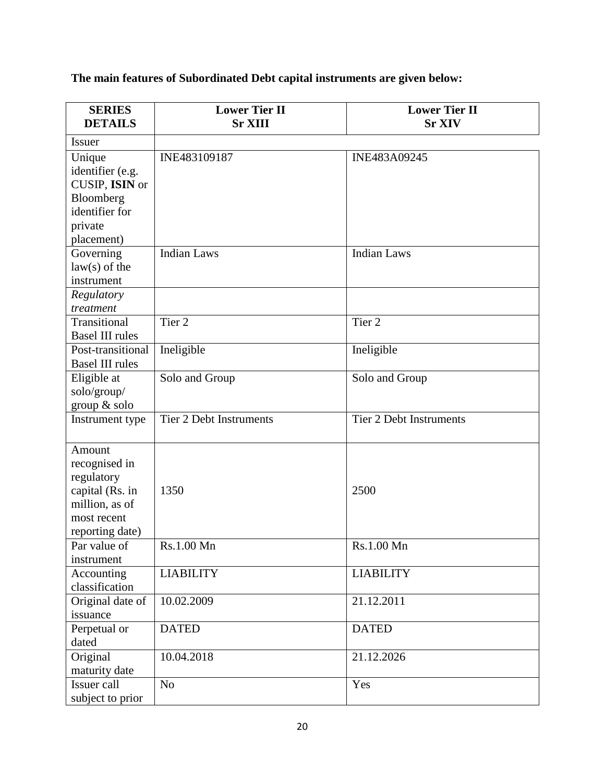**The main features of Subordinated Debt capital instruments are given below:**

| <b>SERIES</b><br><b>DETAILS</b> | <b>Lower Tier II</b><br><b>Sr XIII</b> | <b>Lower Tier II</b><br><b>Sr XIV</b> |
|---------------------------------|----------------------------------------|---------------------------------------|
| <b>Issuer</b>                   |                                        |                                       |
| Unique                          | INE483109187                           | INE483A09245                          |
| identifier (e.g.                |                                        |                                       |
| CUSIP, ISIN or                  |                                        |                                       |
| Bloomberg                       |                                        |                                       |
| identifier for                  |                                        |                                       |
| private                         |                                        |                                       |
| placement)                      |                                        |                                       |
| Governing                       | <b>Indian Laws</b>                     | <b>Indian Laws</b>                    |
| $law(s)$ of the                 |                                        |                                       |
| instrument                      |                                        |                                       |
| Regulatory                      |                                        |                                       |
| treatment                       |                                        |                                       |
| Transitional                    | Tier <sub>2</sub>                      | Tier <sub>2</sub>                     |
| <b>Basel III rules</b>          |                                        |                                       |
| Post-transitional               | Ineligible                             | Ineligible                            |
| <b>Basel III rules</b>          |                                        |                                       |
| Eligible at                     | Solo and Group                         | Solo and Group                        |
| solo/group/                     |                                        |                                       |
| group & solo                    |                                        |                                       |
| Instrument type                 | <b>Tier 2 Debt Instruments</b>         | <b>Tier 2 Debt Instruments</b>        |
|                                 |                                        |                                       |
| Amount                          |                                        |                                       |
| recognised in                   |                                        |                                       |
| regulatory                      |                                        |                                       |
| capital (Rs. in                 | 1350                                   | 2500                                  |
| million, as of                  |                                        |                                       |
| most recent                     |                                        |                                       |
| reporting date)                 |                                        |                                       |
| Par value of                    | Rs.1.00 Mn                             | Rs.1.00 Mn                            |
| instrument                      |                                        |                                       |
| Accounting                      | <b>LIABILITY</b>                       | <b>LIABILITY</b>                      |
| classification                  |                                        |                                       |
| Original date of                | 10.02.2009                             | 21.12.2011                            |
| issuance                        |                                        |                                       |
| Perpetual or                    | <b>DATED</b>                           | <b>DATED</b>                          |
| dated                           |                                        |                                       |
| Original                        | 10.04.2018                             | 21.12.2026                            |
| maturity date                   |                                        |                                       |
| Issuer call                     | N <sub>o</sub>                         | Yes                                   |
| subject to prior                |                                        |                                       |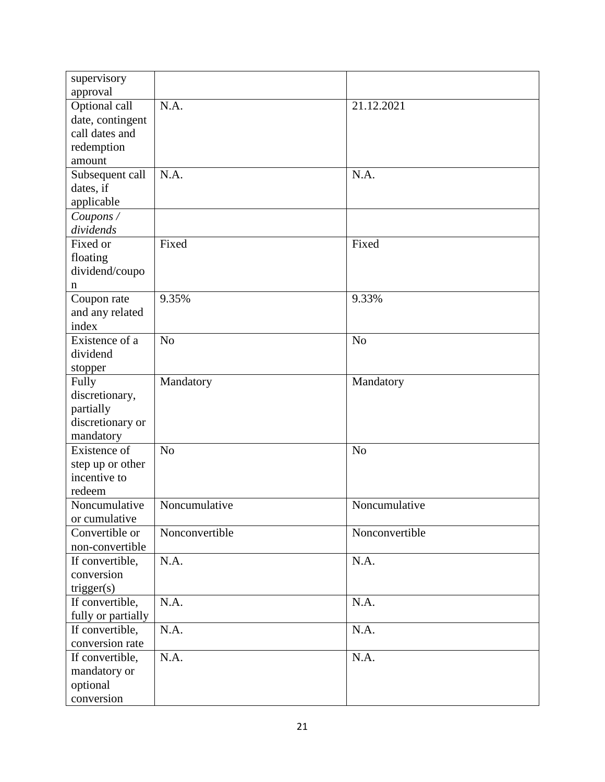| supervisory                        |                |                |
|------------------------------------|----------------|----------------|
| approval                           |                |                |
| Optional call                      | N.A.           | 21.12.2021     |
| date, contingent                   |                |                |
| call dates and                     |                |                |
| redemption                         |                |                |
| amount                             |                |                |
| Subsequent call                    | N.A.           | N.A.           |
| dates, if                          |                |                |
| applicable                         |                |                |
| Coupons /                          |                |                |
| dividends                          |                |                |
| Fixed or                           | Fixed          | Fixed          |
| floating                           |                |                |
| dividend/coupo                     |                |                |
| n                                  |                |                |
| Coupon rate                        | 9.35%          | 9.33%          |
| and any related                    |                |                |
| index                              |                |                |
| Existence of a                     | N <sub>o</sub> | N <sub>o</sub> |
| dividend                           |                |                |
| stopper                            |                |                |
| Fully                              | Mandatory      | Mandatory      |
| discretionary,                     |                |                |
| partially                          |                |                |
| discretionary or                   |                |                |
| mandatory                          |                |                |
| Existence of                       | N <sub>o</sub> | N <sub>o</sub> |
| step up or other                   |                |                |
| incentive to                       |                |                |
| redeem                             |                |                |
| Noncumulative                      | Noncumulative  | Noncumulative  |
| or cumulative                      |                |                |
| Convertible or                     | Nonconvertible | Nonconvertible |
| non-convertible                    |                |                |
| If convertible,                    | N.A.           | N.A.           |
| conversion                         |                |                |
| trigger(s)                         | N.A.           |                |
| If convertible,                    |                | N.A.           |
| fully or partially                 | N.A.           | N.A.           |
| If convertible,<br>conversion rate |                |                |
|                                    | N.A.           |                |
| If convertible,                    |                | N.A.           |
| mandatory or                       |                |                |
| optional                           |                |                |
| conversion                         |                |                |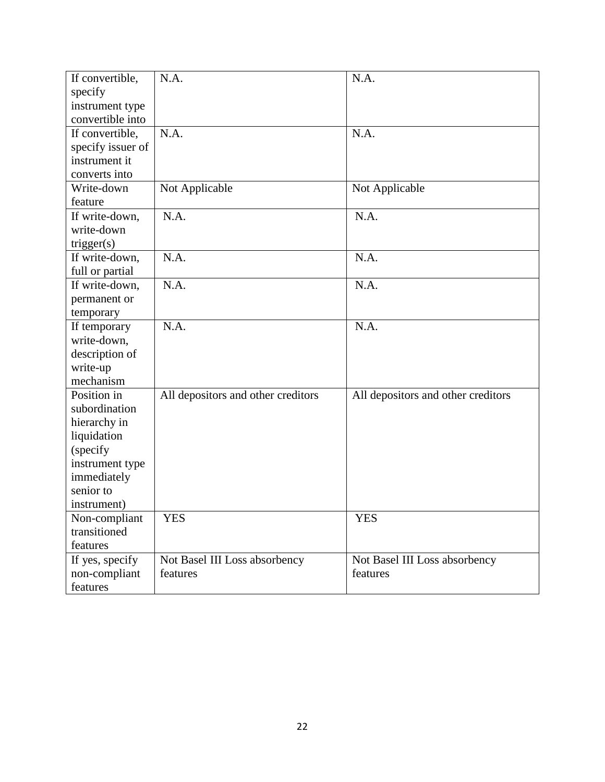| If convertible,   | N.A.                               | N.A.                               |
|-------------------|------------------------------------|------------------------------------|
| specify           |                                    |                                    |
| instrument type   |                                    |                                    |
| convertible into  |                                    |                                    |
| If convertible,   | N.A.                               | N.A.                               |
| specify issuer of |                                    |                                    |
| instrument it     |                                    |                                    |
| converts into     |                                    |                                    |
| Write-down        | Not Applicable                     | Not Applicable                     |
| feature           |                                    |                                    |
| If write-down,    | N.A.                               | N.A.                               |
| write-down        |                                    |                                    |
| trigger(s)        |                                    |                                    |
| If write-down,    | N.A.                               | N.A.                               |
| full or partial   |                                    |                                    |
| If write-down,    | N.A.                               | N.A.                               |
| permanent or      |                                    |                                    |
| temporary         |                                    |                                    |
| If temporary      | N.A.                               | N.A.                               |
| write-down,       |                                    |                                    |
| description of    |                                    |                                    |
| write-up          |                                    |                                    |
| mechanism         |                                    |                                    |
| Position in       | All depositors and other creditors | All depositors and other creditors |
| subordination     |                                    |                                    |
| hierarchy in      |                                    |                                    |
| liquidation       |                                    |                                    |
| (specify          |                                    |                                    |
| instrument type   |                                    |                                    |
| immediately       |                                    |                                    |
| senior to         |                                    |                                    |
| instrument)       |                                    |                                    |
| Non-compliant     | <b>YES</b>                         | <b>YES</b>                         |
| transitioned      |                                    |                                    |
| features          |                                    |                                    |
| If yes, specify   | Not Basel III Loss absorbency      | Not Basel III Loss absorbency      |
| non-compliant     | features                           | features                           |
| features          |                                    |                                    |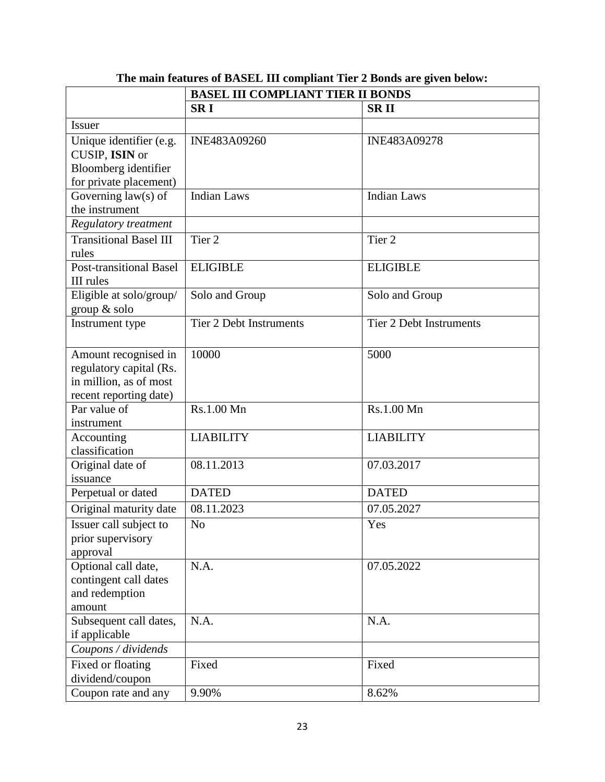|                                                                                                     | <b>BASEL III COMPLIANT TIER II BONDS</b> |                                |  |  |
|-----------------------------------------------------------------------------------------------------|------------------------------------------|--------------------------------|--|--|
|                                                                                                     | <b>SRI</b>                               | <b>SRII</b>                    |  |  |
| <b>Issuer</b>                                                                                       |                                          |                                |  |  |
| Unique identifier (e.g.<br>CUSIP, ISIN or<br>Bloomberg identifier<br>for private placement)         | INE483A09260                             | INE483A09278                   |  |  |
| Governing $law(s)$ of<br>the instrument                                                             | <b>Indian Laws</b>                       | <b>Indian Laws</b>             |  |  |
| <b>Regulatory treatment</b>                                                                         |                                          |                                |  |  |
| <b>Transitional Basel III</b><br>rules                                                              | Tier <sub>2</sub>                        | Tier <sub>2</sub>              |  |  |
| <b>Post-transitional Basel</b><br>III rules                                                         | <b>ELIGIBLE</b>                          | <b>ELIGIBLE</b>                |  |  |
| Eligible at solo/group/<br>group & solo                                                             | Solo and Group                           | Solo and Group                 |  |  |
| Instrument type                                                                                     | <b>Tier 2 Debt Instruments</b>           | <b>Tier 2 Debt Instruments</b> |  |  |
| Amount recognised in<br>regulatory capital (Rs.<br>in million, as of most<br>recent reporting date) | 10000                                    | 5000                           |  |  |
| Par value of<br>instrument                                                                          | Rs.1.00 Mn                               | Rs.1.00 Mn                     |  |  |
| Accounting<br>classification                                                                        | <b>LIABILITY</b>                         | <b>LIABILITY</b>               |  |  |
| Original date of<br>issuance                                                                        | 08.11.2013                               | 07.03.2017                     |  |  |
| Perpetual or dated                                                                                  | <b>DATED</b>                             | <b>DATED</b>                   |  |  |
| Original maturity date                                                                              | 08.11.2023                               | $\overline{07.05.2027}$        |  |  |
| Issuer call subject to<br>prior supervisory<br>approval                                             | N <sub>o</sub>                           | Yes                            |  |  |
| Optional call date,<br>contingent call dates<br>and redemption<br>amount                            | N.A.                                     | 07.05.2022                     |  |  |
| Subsequent call dates,<br>if applicable                                                             | N.A.                                     | N.A.                           |  |  |
| Coupons / dividends                                                                                 |                                          |                                |  |  |
| Fixed or floating<br>dividend/coupon                                                                | Fixed                                    | Fixed                          |  |  |
| Coupon rate and any                                                                                 | 9.90%                                    | 8.62%                          |  |  |

**The main features of BASEL III compliant Tier 2 Bonds are given below:**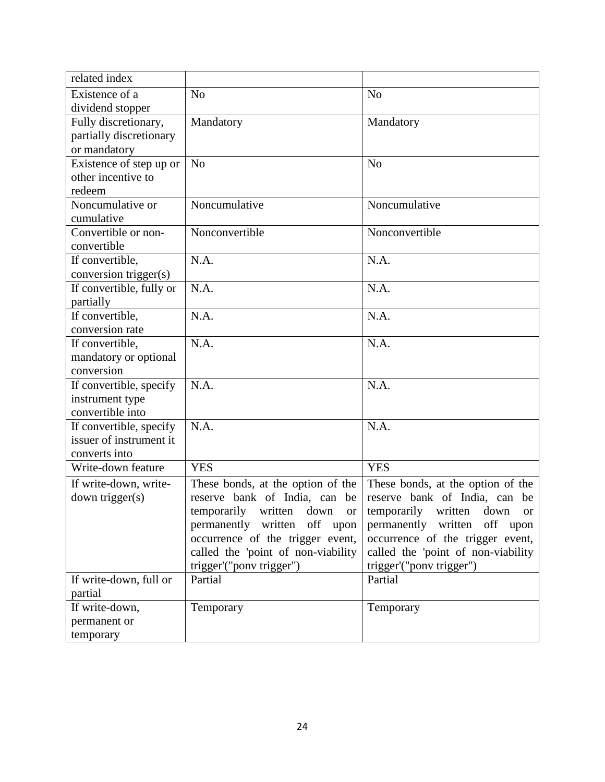| related index            |                                    |                                    |
|--------------------------|------------------------------------|------------------------------------|
| Existence of a           | N <sub>0</sub>                     | N <sub>o</sub>                     |
| dividend stopper         |                                    |                                    |
| Fully discretionary,     | Mandatory                          | Mandatory                          |
| partially discretionary  |                                    |                                    |
| or mandatory             |                                    |                                    |
| Existence of step up or  | N <sub>o</sub>                     | N <sub>o</sub>                     |
| other incentive to       |                                    |                                    |
| redeem                   |                                    |                                    |
| Noncumulative or         | Noncumulative                      | Noncumulative                      |
| cumulative               |                                    |                                    |
| Convertible or non-      | Nonconvertible                     | Nonconvertible                     |
| convertible              |                                    |                                    |
| If convertible,          | N.A.                               | N.A.                               |
| conversion trigger(s)    |                                    |                                    |
| If convertible, fully or | N.A.                               | N.A.                               |
| partially                |                                    |                                    |
| If convertible,          | N.A.                               | N.A.                               |
| conversion rate          |                                    |                                    |
| If convertible,          | N.A.                               | N.A.                               |
| mandatory or optional    |                                    |                                    |
| conversion               |                                    |                                    |
| If convertible, specify  | N.A.                               | N.A.                               |
| instrument type          |                                    |                                    |
| convertible into         |                                    |                                    |
| If convertible, specify  | N.A.                               | N.A.                               |
| issuer of instrument it  |                                    |                                    |
| converts into            |                                    |                                    |
| Write-down feature       | <b>YES</b>                         | <b>YES</b>                         |
| If write-down, write-    | These bonds, at the option of the  | These bonds, at the option of the  |
| down trigger(s)          | reserve bank of India, can be      | reserve bank of India, can be      |
|                          | temporarily written down or        | temporarily written down or        |
|                          | permanently written off upon       | permanently written off upon       |
|                          | occurrence of the trigger event,   | occurrence of the trigger event,   |
|                          | called the 'point of non-viability | called the 'point of non-viability |
|                          | trigger'("ponv trigger")           | trigger'("pony trigger")           |
| If write-down, full or   | Partial                            | Partial                            |
| partial                  |                                    |                                    |
| If write-down,           | Temporary                          | Temporary                          |
| permanent or             |                                    |                                    |
| temporary                |                                    |                                    |